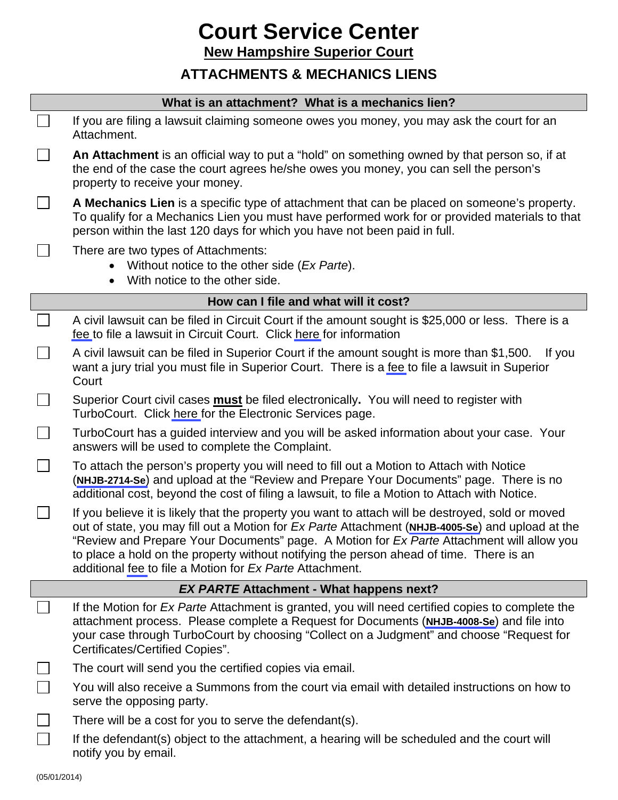## **Court Service Center**

**New Hampshire Superior Court**

## **ATTACHMENTS & MECHANICS LIENS**

| What is an attachment? What is a mechanics lien? |                                                                                                                                                                                                                                                                                                                                                                                                                                                           |
|--------------------------------------------------|-----------------------------------------------------------------------------------------------------------------------------------------------------------------------------------------------------------------------------------------------------------------------------------------------------------------------------------------------------------------------------------------------------------------------------------------------------------|
|                                                  | If you are filing a lawsuit claiming someone owes you money, you may ask the court for an<br>Attachment.                                                                                                                                                                                                                                                                                                                                                  |
|                                                  | An Attachment is an official way to put a "hold" on something owned by that person so, if at<br>the end of the case the court agrees he/she owes you money, you can sell the person's<br>property to receive your money.                                                                                                                                                                                                                                  |
| $\Box$                                           | A Mechanics Lien is a specific type of attachment that can be placed on someone's property.<br>To qualify for a Mechanics Lien you must have performed work for or provided materials to that<br>person within the last 120 days for which you have not been paid in full.                                                                                                                                                                                |
|                                                  | There are two types of Attachments:<br>Without notice to the other side (Ex Parte).<br>With notice to the other side.                                                                                                                                                                                                                                                                                                                                     |
|                                                  | How can I file and what will it cost?                                                                                                                                                                                                                                                                                                                                                                                                                     |
|                                                  | A civil lawsuit can be filed in Circuit Court if the amount sought is \$25,000 or less. There is a<br>fee to file a lawsuit in Circuit Court. Click here for information                                                                                                                                                                                                                                                                                  |
|                                                  | A civil lawsuit can be filed in Superior Court if the amount sought is more than \$1,500.<br>If you<br>want a jury trial you must file in Superior Court. There is a fee to file a lawsuit in Superior<br>Court                                                                                                                                                                                                                                           |
|                                                  | Superior Court civil cases <b>must</b> be filed electronically. You will need to register with<br>TurboCourt. Click here for the Electronic Services page.                                                                                                                                                                                                                                                                                                |
|                                                  | TurboCourt has a guided interview and you will be asked information about your case. Your<br>answers will be used to complete the Complaint.                                                                                                                                                                                                                                                                                                              |
|                                                  | To attach the person's property you will need to fill out a Motion to Attach with Notice<br>(NHJB-2714-Se) and upload at the "Review and Prepare Your Documents" page. There is no<br>additional cost, beyond the cost of filing a lawsuit, to file a Motion to Attach with Notice.                                                                                                                                                                       |
|                                                  | If you believe it is likely that the property you want to attach will be destroyed, sold or moved<br>out of state, you may fill out a Motion for Ex Parte Attachment (NHJB-4005-Se) and upload at the<br>"Review and Prepare Your Documents" page. A Motion for Ex Parte Attachment will allow you<br>to place a hold on the property without notifying the person ahead of time. There is an<br>additional fee to file a Motion for Ex Parte Attachment. |
| <b>EX PARTE Attachment - What happens next?</b>  |                                                                                                                                                                                                                                                                                                                                                                                                                                                           |
|                                                  | If the Motion for Ex Parte Attachment is granted, you will need certified copies to complete the<br>attachment process. Please complete a Request for Documents (NHJB-4008-Se) and file into<br>your case through TurboCourt by choosing "Collect on a Judgment" and choose "Request for<br>Certificates/Certified Copies".                                                                                                                               |
|                                                  | The court will send you the certified copies via email.                                                                                                                                                                                                                                                                                                                                                                                                   |
|                                                  | You will also receive a Summons from the court via email with detailed instructions on how to<br>serve the opposing party.                                                                                                                                                                                                                                                                                                                                |
|                                                  | There will be a cost for you to serve the defendant(s).                                                                                                                                                                                                                                                                                                                                                                                                   |
|                                                  | If the defendant(s) object to the attachment, a hearing will be scheduled and the court will<br>notify you by email.                                                                                                                                                                                                                                                                                                                                      |